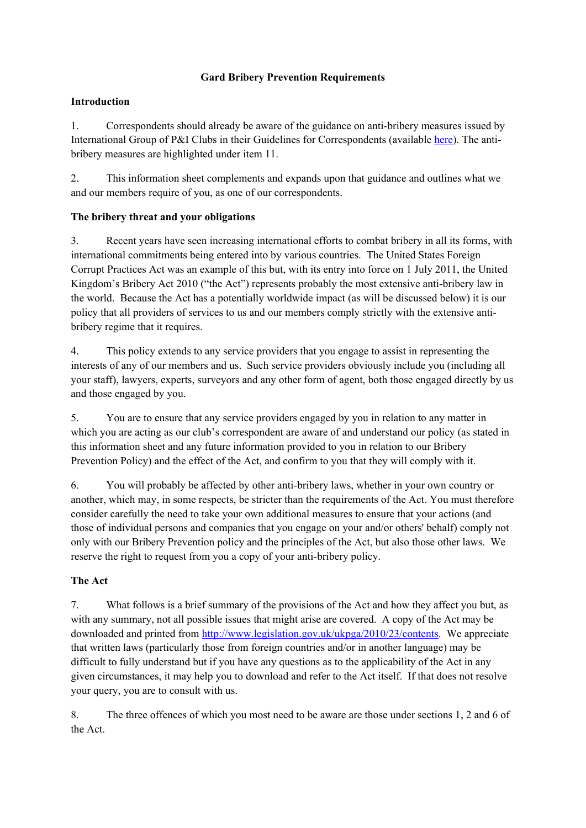# **Gard Bribery Prevention Requirements**

# **Introduction**

1. Correspondents should already be aware of the guidance on anti-bribery measures issued by International Group of P&I Clubs in their Guidelines for Correspondents (available [here](http://www.gard.no/web/publications/document/20811751/gardinternational-group-guidelines-for-correspondents)). The antibribery measures are highlighted under item 11.

2. This information sheet complements and expands upon that guidance and outlines what we and our members require of you, as one of our correspondents.

# **The bribery threat and your obligations**

3. Recent years have seen increasing international efforts to combat bribery in all its forms, with international commitments being entered into by various countries. The United States Foreign Corrupt Practices Act was an example of this but, with its entry into force on 1 July 2011, the United Kingdom's Bribery Act 2010 ("the Act") represents probably the most extensive anti-bribery law in the world. Because the Act has a potentially worldwide impact (as will be discussed below) it is our policy that all providers of services to us and our members comply strictly with the extensive antibribery regime that it requires.

4. This policy extends to any service providers that you engage to assist in representing the interests of any of our members and us. Such service providers obviously include you (including all your staff), lawyers, experts, surveyors and any other form of agent, both those engaged directly by us and those engaged by you.

5. You are to ensure that any service providers engaged by you in relation to any matter in which you are acting as our club's correspondent are aware of and understand our policy (as stated in this information sheet and any future information provided to you in relation to our Bribery Prevention Policy) and the effect of the Act, and confirm to you that they will comply with it.

6. You will probably be affected by other anti-bribery laws, whether in your own country or another, which may, in some respects, be stricter than the requirements of the Act. You must therefore consider carefully the need to take your own additional measures to ensure that your actions (and those of individual persons and companies that you engage on your and/or others' behalf) comply not only with our Bribery Prevention policy and the principles of the Act, but also those other laws. We reserve the right to request from you a copy of your anti-bribery policy.

# **The Act**

7. What follows is a brief summary of the provisions of the Act and how they affect you but, as with any summary, not all possible issues that might arise are covered. A copy of the Act may be downloaded and printed from [http://www.legislation.gov.uk/ukpga/2010/23/contents.](http://www.legislation.gov.uk/ukpga/2010/23/contents) We appreciate that written laws (particularly those from foreign countries and/or in another language) may be difficult to fully understand but if you have any questions as to the applicability of the Act in any given circumstances, it may help you to download and refer to the Act itself. If that does not resolve your query, you are to consult with us.

8. The three offences of which you most need to be aware are those under sections 1, 2 and 6 of the Act.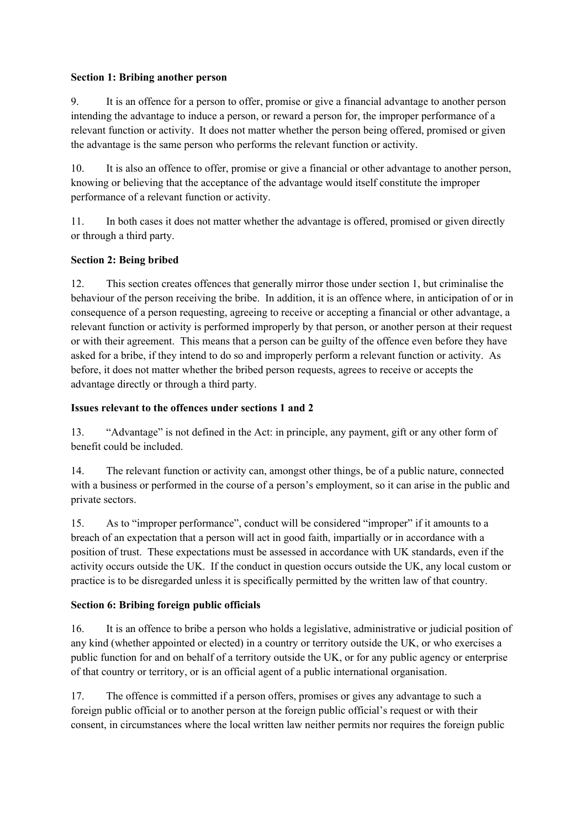#### **Section 1: Bribing another person**

9. It is an offence for a person to offer, promise or give a financial advantage to another person intending the advantage to induce a person, or reward a person for, the improper performance of a relevant function or activity. It does not matter whether the person being offered, promised or given the advantage is the same person who performs the relevant function or activity.

10. It is also an offence to offer, promise or give a financial or other advantage to another person, knowing or believing that the acceptance of the advantage would itself constitute the improper performance of a relevant function or activity.

11. In both cases it does not matter whether the advantage is offered, promised or given directly or through a third party.

# **Section 2: Being bribed**

12. This section creates offences that generally mirror those under section 1, but criminalise the behaviour of the person receiving the bribe. In addition, it is an offence where, in anticipation of or in consequence of a person requesting, agreeing to receive or accepting a financial or other advantage, a relevant function or activity is performed improperly by that person, or another person at their request or with their agreement. This means that a person can be guilty of the offence even before they have asked for a bribe, if they intend to do so and improperly perform a relevant function or activity. As before, it does not matter whether the bribed person requests, agrees to receive or accepts the advantage directly or through a third party.

### **Issues relevant to the offences under sections 1 and 2**

13. "Advantage" is not defined in the Act: in principle, any payment, gift or any other form of benefit could be included.

14. The relevant function or activity can, amongst other things, be of a public nature, connected with a business or performed in the course of a person's employment, so it can arise in the public and private sectors.

15. As to "improper performance", conduct will be considered "improper" if it amounts to a breach of an expectation that a person will act in good faith, impartially or in accordance with a position of trust. These expectations must be assessed in accordance with UK standards, even if the activity occurs outside the UK. If the conduct in question occurs outside the UK, any local custom or practice is to be disregarded unless it is specifically permitted by the written law of that country.

### **Section 6: Bribing foreign public officials**

16. It is an offence to bribe a person who holds a legislative, administrative or judicial position of any kind (whether appointed or elected) in a country or territory outside the UK, or who exercises a public function for and on behalf of a territory outside the UK, or for any public agency or enterprise of that country or territory, or is an official agent of a public international organisation.

17. The offence is committed if a person offers, promises or gives any advantage to such a foreign public official or to another person at the foreign public official's request or with their consent, in circumstances where the local written law neither permits nor requires the foreign public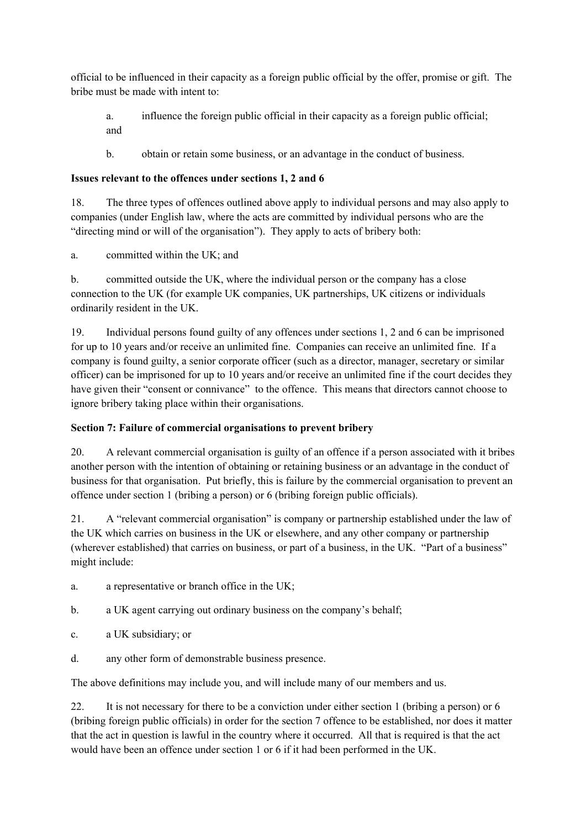official to be influenced in their capacity as a foreign public official by the offer, promise or gift. The bribe must be made with intent to:

a. influence the foreign public official in their capacity as a foreign public official; and

b. obtain or retain some business, or an advantage in the conduct of business.

# **Issues relevant to the offences under sections 1, 2 and 6**

18. The three types of offences outlined above apply to individual persons and may also apply to companies (under English law, where the acts are committed by individual persons who are the "directing mind or will of the organisation"). They apply to acts of bribery both:

a. committed within the UK; and

b. committed outside the UK, where the individual person or the company has a close connection to the UK (for example UK companies, UK partnerships, UK citizens or individuals ordinarily resident in the UK.

19. Individual persons found guilty of any offences under sections 1, 2 and 6 can be imprisoned for up to 10 years and/or receive an unlimited fine. Companies can receive an unlimited fine. If a company is found guilty, a senior corporate officer (such as a director, manager, secretary or similar officer) can be imprisoned for up to 10 years and/or receive an unlimited fine if the court decides they have given their "consent or connivance" to the offence. This means that directors cannot choose to ignore bribery taking place within their organisations.

# **Section 7: Failure of commercial organisations to prevent bribery**

20. A relevant commercial organisation is guilty of an offence if a person associated with it bribes another person with the intention of obtaining or retaining business or an advantage in the conduct of business for that organisation. Put briefly, this is failure by the commercial organisation to prevent an offence under section 1 (bribing a person) or 6 (bribing foreign public officials).

21. A "relevant commercial organisation" is company or partnership established under the law of the UK which carries on business in the UK or elsewhere, and any other company or partnership (wherever established) that carries on business, or part of a business, in the UK. "Part of a business" might include:

- a. a representative or branch office in the UK;
- b. a UK agent carrying out ordinary business on the company's behalf;
- c. a UK subsidiary; or
- d. any other form of demonstrable business presence.

The above definitions may include you, and will include many of our members and us.

22. It is not necessary for there to be a conviction under either section 1 (bribing a person) or 6 (bribing foreign public officials) in order for the section 7 offence to be established, nor does it matter that the act in question is lawful in the country where it occurred. All that is required is that the act would have been an offence under section 1 or 6 if it had been performed in the UK.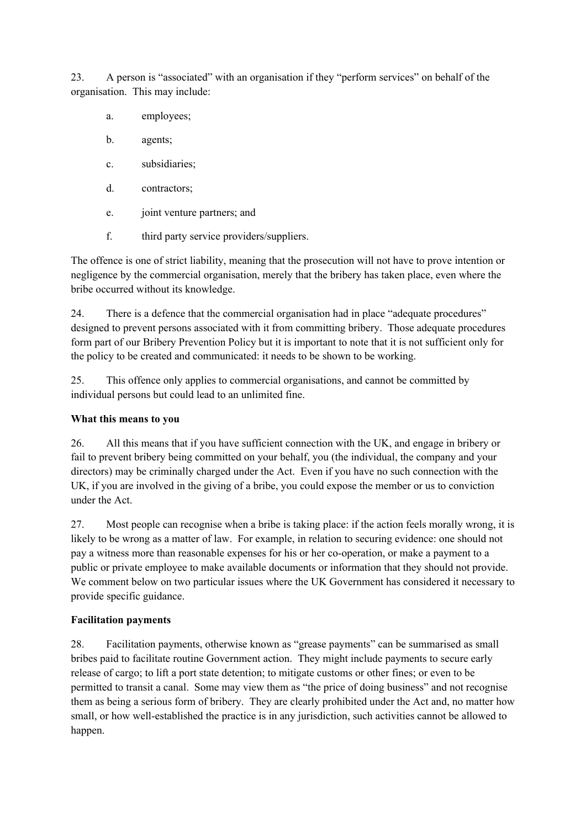23. A person is "associated" with an organisation if they "perform services" on behalf of the organisation. This may include:

- a. employees;
- b. agents;
- c. subsidiaries;
- d. contractors;
- e. joint venture partners; and
- f. third party service providers/suppliers.

The offence is one of strict liability, meaning that the prosecution will not have to prove intention or negligence by the commercial organisation, merely that the bribery has taken place, even where the bribe occurred without its knowledge.

24. There is a defence that the commercial organisation had in place "adequate procedures" designed to prevent persons associated with it from committing bribery. Those adequate procedures form part of our Bribery Prevention Policy but it is important to note that it is not sufficient only for the policy to be created and communicated: it needs to be shown to be working.

25. This offence only applies to commercial organisations, and cannot be committed by individual persons but could lead to an unlimited fine.

### **What this means to you**

26. All this means that if you have sufficient connection with the UK, and engage in bribery or fail to prevent bribery being committed on your behalf, you (the individual, the company and your directors) may be criminally charged under the Act. Even if you have no such connection with the UK, if you are involved in the giving of a bribe, you could expose the member or us to conviction under the Act.

27. Most people can recognise when a bribe is taking place: if the action feels morally wrong, it is likely to be wrong as a matter of law. For example, in relation to securing evidence: one should not pay a witness more than reasonable expenses for his or her co-operation, or make a payment to a public or private employee to make available documents or information that they should not provide. We comment below on two particular issues where the UK Government has considered it necessary to provide specific guidance.

### **Facilitation payments**

28. Facilitation payments, otherwise known as "grease payments" can be summarised as small bribes paid to facilitate routine Government action. They might include payments to secure early release of cargo; to lift a port state detention; to mitigate customs or other fines; or even to be permitted to transit a canal. Some may view them as "the price of doing business" and not recognise them as being a serious form of bribery. They are clearly prohibited under the Act and, no matter how small, or how well-established the practice is in any jurisdiction, such activities cannot be allowed to happen.